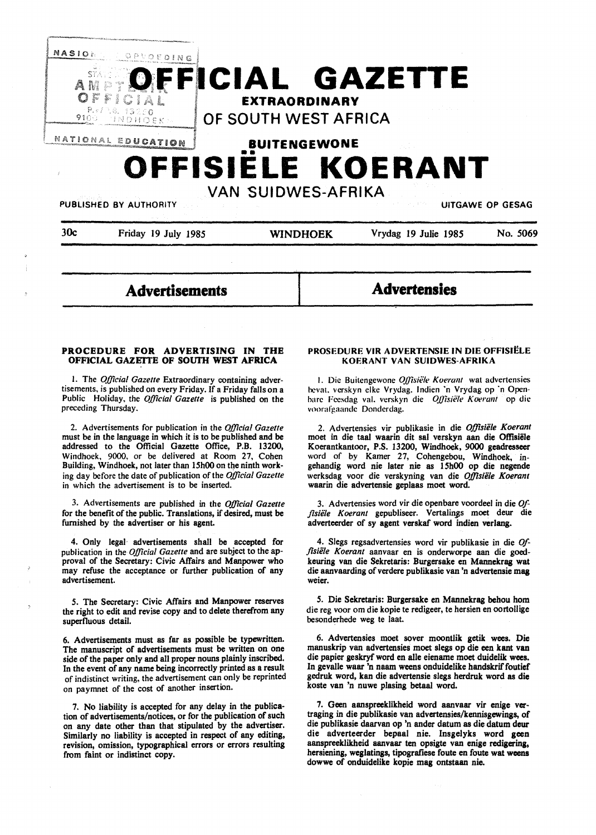

30c Friday 19 July 1985 **WINDHOEK** Vrydag 19 Julie 1985 No. 5069

**Advertisements** 

**Advertensies** 

## **PROCEDURE FOR ADVERTISING IN THE OFFICIAL GAZETTE OF SOUTH WEST AFRICA**

I. The *Official Gazette* Extraordinary containing advertisements, is published on every Friday. If a Friday falls on a Public Holiday, the *Official Gazette* is published on the preceding Thursday.

2. Advertisements for publication in the *Official Gazette*  must be in the language in which it is to be published and be addressed to the Official Gazette Office, P.B. 13200, Windhoek, 9000, or be delivered at Room 27, Cohen Building, Windhoek, not later than 15h00 on the ninth working day before the date of publication of the *Official Gazette*  in which the advertisement is to be inserted.

3. Advertisements are published in the *Official Gazette*  for the benefit of the public. Translations, if desired, must be furnished by the advertiser or his agent.

4. Only legal· advertisements shall be accepted for publication in the *Official Gazette* and are subject to the approval of the Secretary: Civic Affairs and Manpower who may refuse the acceptance or further publication of any advertisement.

*5.* The Secretary: Civic Affairs and Manpower reserves the right to edit and revise copy and to delete therefrom any superfluous detail.

6. Advertisements must as far as possible be typewritten. The manuscript of advertisements must be written on one side of the paper only and all proper nouns plainly inscribed. In the event of any name being incorrectly printed as a result of indistinct writing, the advertisement can only be reprinted on paymnet of the cost of another insertion.

7. No liability is accepted for any delay in the publication of advertisements/notices, or for the publication of such on any date other than that stipulated by the advertiser. Similarly no liability is accepted in respect of any editing, revision, omission, typographical errors or errors resulting from faint or indistinct copy.

#### **PROSEDURE VIR ADVERTENSIE IN DIE OFFISIELE KOERANT VAN SUIDWES-AFRIKA**

1. Die Buitengewone *Offisiële Koerant* wat advertensies hevat. verskyn elke Vrydag. Indien 'n Vrydag op 'n Openharc Feesdag val. verskyn die *Offisiële Koerant* op die voorafgaande Donderdag.

2. Advertensies vir publikasie in die *Offisiele Koerant*  moet in die taa1 waarin dit sal verskyn aan die **Offisiele**  Koerantkantoor, P.S. 13200, Windhoek, 9000 geadresseer word of by Kamer 27, Cohengebou, Windhoek, ingehandig word nie later nie as 15h00 op die negende werksdag voor die verskyning van die *Offlsiele Koerant*  waarin die advertensie geplaas moet word.

3. Advertensies word vir die openbare voordeel in die *Of*fisiële Koerant gepubliseer. Vertalings moet deur die adverteerder of sy agent verskaf word indien verlang.

4. Slegs regsadvertensies word vir publikasie in die *Offlsiele Koerant* aanvaar en is onderworpe aan die goedkeuring van die Sekretaris: Burgersake en Mannekrag wat die aanvaarding of verdere publikasie van 'n advertensie mag weier.

*5.* Die Sekretaris: Burgersake en Mannekrag behou horn die reg voor om die kopie te redigeer, te hersien en oortollige besonderhede weg te laat.

6. Advertensies moet sover moontlik getik wees. Die manuskrip van advertensies moet slegs op die een kant van die papier geskryf word en alle eiename moet duidelik wees. In gevalle waar 'n naam weens onduidelike handskrif foutief gedruk word, kan die advertensie slegs herdruk word as die koste van 'n nuwe plasing betaal word.

7. Geen aanspreeklikheid word aanvaar vir enige vertraging in die publikasie van advertensies/kennisgewings, of die publikasie daarvan op 'n ander datum as die datum deur die adverteerder bepaal nie. Insgelyks word geen aanspreeklikheid aanvaar ten opsigte van enige **redigering,**  hersiening, weglatings, tipografiese foute en foute wat weens dowwe of onduidelike kopie mag ontstaan nie.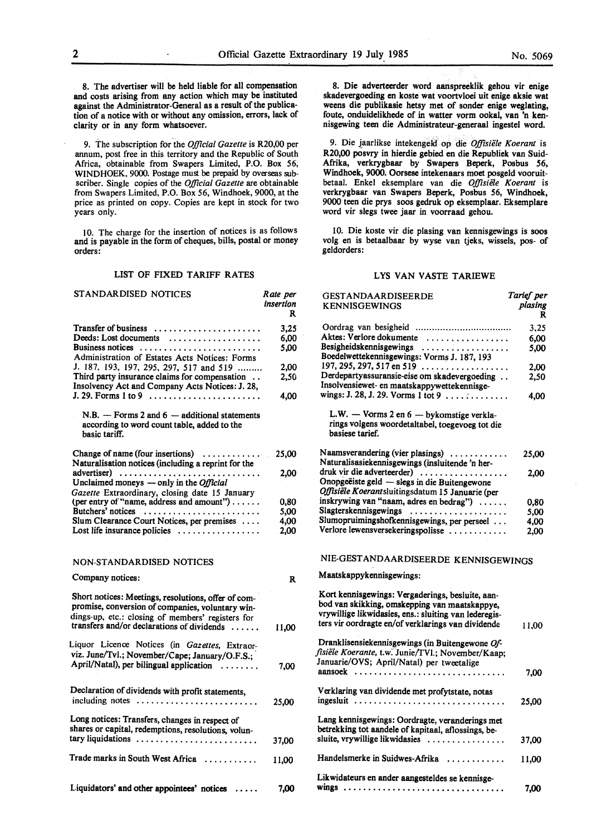geldorders:

8. Die adverteerder word aanspreeklik gehou vir **enige**  skadevergoeding en koste wat voortvloei uit enige aksie wat weens die publikasie hetsy met of sonder enige weglating, foute, onduidelikhede of in watter vorm ookal, van 'n kennisgewing teen die Administrateur-generaal ingestel word. 9. Die laarlikse intekengeld op die *Offisiele Koerant* is R20,00 posvry in hierdie gebied en die Republiek van Suid-Afrika, verkrygbaar by Swapers Beperk, Posbus *56,*  Windhoek, 9000. Oorsese intekenaars moet posgeld vooruitbetaal. Enke! eksemplare van die *Offisie1e Koerant* is verkrygbaar van Swapers Beperk, Posbus *56,* Windhoek, 9000 teen die prys soos gedruk op eksemplaar. Eksemplare

10. Die koste vir die plasing van kennisgewings is soos volg en is betaalbaar by wyse van tjeks, wissels, pos- of

LYS VAN VASTE TARIEWE

word vir slegs twee jaar in voorraad gehou.

8. The advertiser will be held liable for all compensation and costs arising from any action which may be instituted against the Administrator-General as a result of the publication of a notice with or without any omission, errors, lack of clarity or in any form whatsoever.

9. The subscription for the *Official Gazette* is R20,00 per annum, post free in this territory and the Republic of South Africa, obtainable from Swapers Limited, P.O. Box 56, WINDHOEK, 9000. Postage must be prepaid by overseas subscriber. Single copies of the *Official Gazette* are obtainable from Swapers Limited, P.O. Box 56, Windhoek, 9000, at the price as printed on copy. Copies are kept in stock for two years only.

10. The charge for the insertion of notices is as follows and is payable in the form of cheques, bills, postal or money orders:

#### LIST OF FIXED TARIFF RATES

| STANDARDISED NOTICES                                                                                                                                                                                       | Rate per<br>insertion<br>R | <b>GESTANDAARDISEERDE</b><br><b>KENNISGEWINGS</b>                                                                                                                                                                | Tarief per<br>plasing<br>R |
|------------------------------------------------------------------------------------------------------------------------------------------------------------------------------------------------------------|----------------------------|------------------------------------------------------------------------------------------------------------------------------------------------------------------------------------------------------------------|----------------------------|
|                                                                                                                                                                                                            | 3,25                       |                                                                                                                                                                                                                  | 3,25                       |
| Deeds: Lost documents $\dots\dots\dots\dots\dots\dots$                                                                                                                                                     | 6,00                       | Aktes: Verlore dokumente                                                                                                                                                                                         | 6,00                       |
| Business notices                                                                                                                                                                                           | 5,00                       | Besigheidskennisgewings                                                                                                                                                                                          | 5,00                       |
| Administration of Estates Acts Notices: Forms                                                                                                                                                              |                            | Boedelwettekennisgewings: Vorms J. 187, 193                                                                                                                                                                      |                            |
| J. 187, 193, 197, 295, 297, 517 and 519                                                                                                                                                                    | 2,00                       | 197, 295, 297, 517 en 519 $\ldots$                                                                                                                                                                               | 2,00                       |
| Third party insurance claims for compensation                                                                                                                                                              | 2,50                       | Derdepartyassuransie-eise om skadevergoeding                                                                                                                                                                     | 2,50                       |
| Insolvency Act and Company Acts Notices: J. 28,                                                                                                                                                            |                            | Insolvensiewet- en maatskappywettekennisge-                                                                                                                                                                      |                            |
|                                                                                                                                                                                                            | 4,00                       | wings: J. 28, J. 29. Vorms 1 tot 9                                                                                                                                                                               | 4.00                       |
| $N.B.$ - Forms 2 and 6 - additional statements<br>according to word count table, added to the<br>basic tariff.                                                                                             |                            | L.W. - Vorms 2 en 6 - bykomstige verkla-<br>rings volgens woordetaltabel, toegevoeg tot die<br>basiese tarief.                                                                                                   |                            |
| Change of name (four insertions)                                                                                                                                                                           | 25,00                      | Naamsverandering (vier plasings)                                                                                                                                                                                 | 25,00                      |
| Naturalisation notices (including a reprint for the                                                                                                                                                        |                            | Naturalisasiekennisgewings (insluitende 'n her-                                                                                                                                                                  |                            |
| advertiser)                                                                                                                                                                                                | 2,00                       | druk vir die adverteerder)                                                                                                                                                                                       | 2,00                       |
| Unclaimed moneys — only in the <i>Official</i>                                                                                                                                                             |                            | Onopgeëiste geld — slegs in die Buitengewone                                                                                                                                                                     |                            |
| Gazette Extraordinary, closing date 15 January                                                                                                                                                             |                            | Offisiële Koerantsluitingsdatum 15 Januarie (per                                                                                                                                                                 |                            |
| (per entry of "name, address and amount")                                                                                                                                                                  | 0,80                       | inskrywing van "naam, adres en bedrag")                                                                                                                                                                          | 0,80                       |
| Butchers' notices                                                                                                                                                                                          | 5,00                       | Slagterskennisgewings                                                                                                                                                                                            | 5.00                       |
| Slum Clearance Court Notices, per premises                                                                                                                                                                 | 4,00                       | Slumopruimingshofkennisgewings, per perseel                                                                                                                                                                      | 4.00                       |
| Lost life insurance policies                                                                                                                                                                               | 2,00                       | Verlore lewensversekeringspolisse                                                                                                                                                                                | 2,00                       |
| NON-STANDARDISED NOTICES                                                                                                                                                                                   |                            | NIE-GESTANDAARDISEERDE KENNISGEWINGS                                                                                                                                                                             |                            |
| Company notices:                                                                                                                                                                                           | $\mathbf{R}$               | Maatskappykennisgewings:                                                                                                                                                                                         |                            |
| Short notices: Meetings, resolutions, offer of com-<br>promise, conversion of companies, voluntary win-<br>dings-up, etc.: closing of members' registers for<br>transfers and/or declarations of dividends | 11,00                      | Kort kennisgewings: Vergaderings, besluite, aan-<br>bod van skikking, omskepping van maatskappye,<br>vrywillige likwidasies, ens.: sluiting van lederegis-<br>ters vir oordragte en/of verklarings van dividende | 11.00                      |
|                                                                                                                                                                                                            |                            | Dranklisensiekennisgewings (in Buitengewone Of-                                                                                                                                                                  |                            |
| Liquor Licence Notices (in Gazettes, Extraor-                                                                                                                                                              |                            | fisiële Koerante, t.w. Junie/TVl.; November/Kaap;                                                                                                                                                                |                            |
| viz. June/Tvl.; November/Cape; January/O.F.S.;                                                                                                                                                             |                            | Januarie/OVS; April/Natal) per tweetalige                                                                                                                                                                        |                            |
| April/Natal), per bilingual application                                                                                                                                                                    | 7.00                       |                                                                                                                                                                                                                  | 7.00                       |
| Declaration of dividends with profit statements,                                                                                                                                                           |                            | Verklaring van dividende met profytstate, notas                                                                                                                                                                  |                            |
| including notes                                                                                                                                                                                            | 25,00                      | ingesluit                                                                                                                                                                                                        | 25,00                      |
| Long notices: Transfers, changes in respect of                                                                                                                                                             |                            | Lang kennisgewings: Oordragte, veranderings met                                                                                                                                                                  |                            |
| shares or capital, redemptions, resolutions, volun-                                                                                                                                                        |                            | betrekking tot aandele of kapitaal, aflossings, be-                                                                                                                                                              |                            |
| tary liquidations                                                                                                                                                                                          | 37,00                      | sluite, vrywillige likwidasies                                                                                                                                                                                   | 37,00                      |
| Trade marks in South West Africa                                                                                                                                                                           | 11,00                      | Handelsmerke in Suidwes-Afrika                                                                                                                                                                                   | 11,00                      |
|                                                                                                                                                                                                            |                            | Likwidateurs en ander aangesteldes se kennisge-                                                                                                                                                                  |                            |
| Liquidators' and other appointees' notices                                                                                                                                                                 | 7,00                       |                                                                                                                                                                                                                  | 7,00                       |
|                                                                                                                                                                                                            |                            |                                                                                                                                                                                                                  |                            |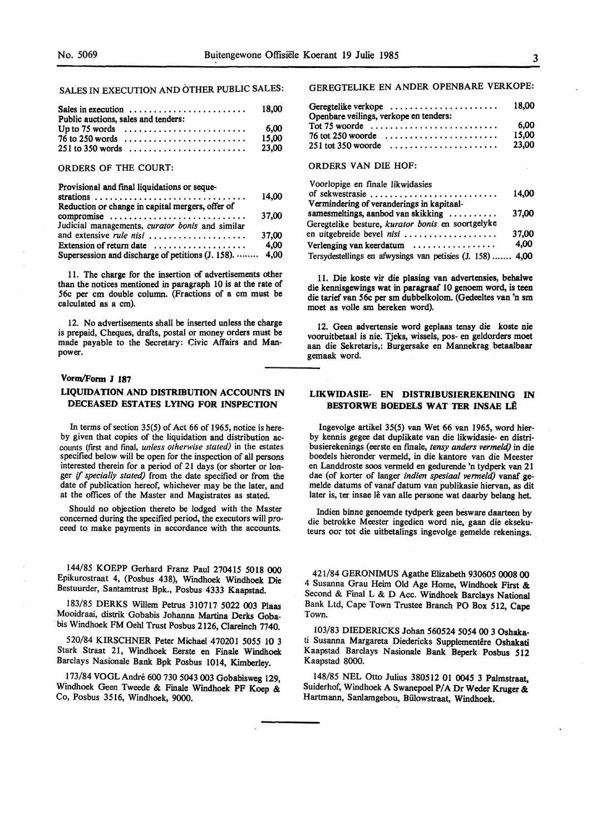SALES IN EXECUTION AND OTHER PUBLIC SALES:

| Public auctions, sales and tenders:                              |  |  |  |  |  |  |  |  |  |  |  |  |  |  |       |
|------------------------------------------------------------------|--|--|--|--|--|--|--|--|--|--|--|--|--|--|-------|
| Up to 75 words $\dots \dots \dots \dots \dots \dots \dots \dots$ |  |  |  |  |  |  |  |  |  |  |  |  |  |  | -6.00 |
| $76$ to 250 words                                                |  |  |  |  |  |  |  |  |  |  |  |  |  |  | 15.00 |
| $251$ to 350 words                                               |  |  |  |  |  |  |  |  |  |  |  |  |  |  | 23.00 |

ORDERS OF THE COURT:

Provisional and final liquidations or seque-

|                                                           | 14.00 |
|-----------------------------------------------------------|-------|
| Reduction or change in capital mergers, offer of          |       |
| compromise                                                | 37.00 |
| Judicial managements, curator bonis and similar           |       |
| and extensive rule nisi                                   | 37.00 |
| Extension of return date $\dots\dots\dots\dots\dots\dots$ | 4.00  |
| Supersession and discharge of petitions (J. 158).  4,00   |       |

11. The charge for the insertion of advertisements other than the notices mentioned in paragraph 10 is at the rate of 56c per cm double column. (Fractions of a cm must be calculated as a cm).

12. No advertisements shall be inserted unless the charge is prepaid, Cheques, drafts, postal or money orders must be made payable to the Secretary: Civic Affairs and Manpower.

#### **Vorin/Form J 187**

## **LIQUIDATION AND DISTRIBUTION ACCOUNTS IN DECEASED ESTATES LYING FOR INSPECTION**

In terms of section 35(5) of Act 66 of 1965, notice is hereby given that copies of the liquidation and distribution accounts (first and final, *unless otherwise stated)* in the estates specified below will be open for the inspection of all persons interested therein for a period of 21 days (or shorter or longer if *specially stated)* from the date specified or from the date of publication hereof, whichever may be the later, and at the offices of the Master and Magistrates as stated.

Should no objection thereto be lodged with the Master concerned during the specified period, the executors will proceed to make payments in accordance with the accounts.

144/85 KOEPP Gerhard Franz Paul 270415 5018 000 Epikurostraat 4, (Posbus 438), Windhoek Windhoek Die Bestuurder, Santamtrust Bpk., Posbus 4333 Kaapstad.

183/85 DERKS Willem Petrus 310717 5022 003 Plaas Mooidraai, distrik Gobabis Johanna Martina Derks Gobabis Windhoek FM Oehl Trust Posbus 2126, Clareinch 7740.

520/84 KIRSCHNER Peter Michael 470201 *5055* 10 3 Stark Straat 21, Windhoek Eerste en Finale Windhoek Barclays Nasionale Bank Bpk Posbus 1014, Kimberley.

173/84 VOGL Andre 600 730 5043 003 Gobabisweg 129, Windhoek Geen Tweede & Finale Windhoek PF Koep & Co, Posbus 3516, Windhoek, 9000.

GEREGTELIKE EN ANDER OPENBARE VERKOPE:

| Openbare veilings, verkope en tenders:                           |       |
|------------------------------------------------------------------|-------|
| Tot 75 woorde $\ldots \ldots \ldots \ldots \ldots \ldots \ldots$ | 6.00  |
| $76$ tot 250 woorde $\ldots \ldots \ldots \ldots \ldots \ldots$  | 15.00 |
| $251$ tot 350 woorde                                             | 23.00 |

## ORDERS VAN DIE HOF:

| Voorlopige en finale likwidasies                          |       |
|-----------------------------------------------------------|-------|
|                                                           | 14,00 |
| Vermindering of veranderings in kapitaal-                 |       |
| samesmeltings, aanbod van skikking                        | 37.00 |
| Geregtelike besture, kurator bonis en soortgelyke         |       |
| en uitgebreide bevel nisi                                 | 37.00 |
| Verlenging van keerdatum                                  | 4,00  |
| Tersydestellings en afwysings van petisies (J. 158)  4,00 |       |

11. Die koste vir die pissing van advertensies, behalwe die kennisgewings wat in paragraaf 10 genoem word, is teen die tarief van 56c per sm dubbelkolom. (Gedeeltes van 'n sm moet as volle sm bereken word).

12. Geen advertensie word geplaas tensy die koste nie vooruitbetaal is nie. Tjeks, wissels, pos- en geldorders moet aan die Sekretaris,: Burgersake en Mannekrag betaalbaar gemaak word.

## **LIKWIDASIE- EN DISTRIBUSIEREKENING IN BESTORWE BOEDELS WAT TER INSAE LÊ**

lngevolge artikel 35(5) van Wet 66 van 1965, word hierby kennis gegee dat duplikate van die likwidasie- en distribusierekenings (eerste en fmale, *tensy anders vermeld)* in die boedels hieronder vermeld, in die kantore van die Meester en Landdroste soos vermeld en gedurende 'n tydperk van 21 dae (of korter of !anger *indien spesiaal vermeld)* vanaf gemelde datums of vanaf datum van publikasie hiervan, as dit later is, ter insae lê van alle persone wat daarby belang het.

lndien binne genoemde tydperk geen besware daarteen by die betrokke Meester ingedien word nie, gaan die eksekuteurs oor tot die uitbetalings ingevolge gemelde rekenings.

421/84 GERONIMUS Agathe Elizabeth 930605 **0008 00**  4 Susanna Grau Heim Old Age Home, Windhoek First & Second & Final L & D Acc. Windhoek Barclays National Bank Ltd, Cape Town Trustee Branch PO Box 512, Cape Town.

103/83 DIEDERICKS Johan 560524 *5054* 00 3 Oshakati Susanna Margareta Diedericks Supplementêre Oshakati Kaapstad Barclays Nasionale Bank Beperk Posbus 512 Kaapstad 8000.

148/85 NEL Otto Julius 380512 01 *0045* 3 Palmstraat, Suiderhof, Windhoek A Swanepoel P/A Dr Weder Kruger & Hartmann, Sanlamgebou, Billowstraat, Windhoek.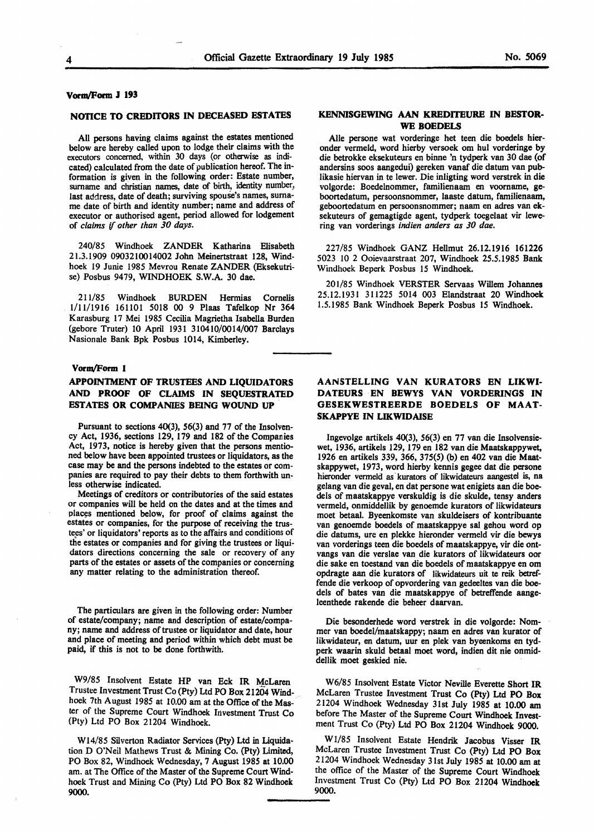## **VornvForm J 193**

#### **NOTICE TO CREDITORS** IN **DECEASED ESTATES**

All persons having claims against the estates mentioned below are hereby called upon to lodge their claims with the executors concerned, within 30 days (or otherwise as indicated) calculated from the date of publication hereof. The information is given in the following order: Estate number, surname and christian names, date of birth, identity number, last address, date of death; surviving spouse's names, surname date of birth and identity number; name and address of executor or authorised agent, period allowed for lodgement of *claims if other than 30 days.* 

240/85 Windhoek ZANDER Katharina Elisabeth 21.3.1909 0903210014002 John Meinertstraat 128, Windhoek 19 Junie 1985 Mevrou Renate ZANDER (Eksekutrise) Posbus 9479, WINDHOEK S.W.A. 30 dae.

211/85 Windhoek BURDEN Hermias Cornelis 1/11/1916 161101 5018 00 9 Plaas Tafelkop Nr 364 Karasburg 17 Mei 1985 Cecilia Magrietha Isabella Burden (gebore Truter) 10 April 1931 310410/0014/007 Barclays Nasionale Bank Bpk Posbus 1014, Kimberley.

## **Vorm/Form l**

## **APPOINTMENT OF TRUSTEES AND LIQUIDATORS AND PROOF OF CLAIMS IN SEQUESTRATED ESTATES OR COMPANIES BEING WOUND UP**

Pursuant to sections 40(3), 56(3) and 77 of the Insolvency Act, 1936, sections 129, 179 and 182 of the Companies Act, 1973, notice is hereby given that the persons mentioned below have been appointed trustees or liquidators, as the case may be and the persons indebted to the estates or companies are required to pay their debts to them forthwith unless otherwise indicated.

Meetings of creditors or contributories of the said estates or companies will be held on the dates and at the times and places mentioned below, for proof of claims against the estates or companies, for the purpose of receiving the trustees' or liquidators' reports as to the affairs and conditions of the estates or companies and for giving the trustees or liquidators directions concerning the sale or recovery of any parts of the estates or assets of the companies or concerning any matter relating to the administration thereof.

The particulars are given in the following order: Number of estate/company; name and description of estate/company; name and address of trustee or liquidator and date, hour and place of meeting and period within which debt must be paid, if this is not to be done forthwith.

W9/85 Insolvent Estate HP van Eck IR McLaren Trustee Investment Trust Co (Pty) Ltd PO Box 21204 Windhoek 7th August 1985 at 10.00 am at the Office of the Master of the Supreme Court Windhoek Investment Trust Co (Pty) Ltd PO Box 21204 Windhoek.

Wl4/85 Silverton Radiator Services (Pty) Ltd in Liquidation D O'Neil Mathews Trust & Mining Co. (Pty) Limited, PO Box 82, Windhoek Wednesday, 7 August 1985 at 10.00 am. at The Office of the Master of the Supreme Court Windhoek Trust and Mining Co (Pty) Ltd PO Box 82 Windhoek 9000.

## **KENNISGEWING AAN KREDITEURE IN BESTOR-WE BOEDELS**

Alie persone wat vorderinge het teen die boedels hieronder vermeld, word hierby versoek om hul vorderinge by die betrokke eksekuteurs en binne 'n tydperk van 30 dae (of andersins soos aangedui) gereken vanaf die datum van publikasie hiervan in te lewer. Die inligting word verstrek in die volgorde: Boedelnommer, familienaam en voorname, geboortedatum, persoonsnommer, laaste datum, familienaam, geboortedatum en persoonsnommer; naam en adres van eksekuteurs of gemagtigde agent, tydperk toegelaat vir lewering van vorderings *indien anders as 30 dae.* 

227/85 Windhoek GANZ Hellmut 26.12.1916 161226 5023 10 2 Ooievaarstraat 207, Windhoek 25.5.1985 Bank Windhoek Beperk Posbus 15 Windhoek.

201/85 Windhoek VERSTER Servaas Willem Johannes 25.12.1931 311225 5014 003 Elandstraat 20 Windhoek 1.5.1985 Bank Windhoek Beperk Posbus 15 Windhoek.

## **AANSTELLING VAN KURATORS EN LIKWI-DATEURS EN BEWYS VAN VORDERINGS IN GESEKWESTREERDE BOEDELS OF MAAT-SKAPPYE IN LIKWIDAISE**

lngevolge artikels 40(3), 56(3) en 77 van die Insolvensiewet, 1936, artikels 129, 179 en 182 van die Maatskappywet, 1926 en artikels 339, 366, 375(5) (b) en 402 van die Maatskappywet, 1973, word hierby kennis gegee dat die persone hieronder vermeld as kurators of likwidateurs aangestel is, na gelang van die geval, en dat persone wat enigiets aan die boedels of maatskappye verskuldig is die skulde, tensy anders vermeld, onmiddellik by genoemde kurators of Iikwidateurs moet betaal. Byeenkomste van skuldeisers of kontribuante van genoemde boedels of maatskappye sal gehou word op die datums, ure en plekke hieronder vermeld vir die bewys van vorderings teen die boedels of maatskappye, vir die ontvangs van die verslae van die kurators of likwidateurs oor die sake en toestand van die boedels of maatskappye en om opdragte aan die kurators of likwidateurs uit te reik betreffende die verkoop of opvotdering van gedeeltes van die boedels of bates van die maatskappye of betreffende aangeleenthede rakende die beheer daarvan.

Die besonderhede word verstrek in die volgorde: Nommer van boedel/maatskappy; naam en adres van kurator of likwidateur, en datum, uur en plek van byeenkoms en tydperk waarin skuld betaal moet word, indien dit nie onmiddellik moet geskied nie.

W6/85 Insolvent Estate Victor Neville Everette Short IR McLaren Trustee Investment Trust Co (Pty) Ltd PO Box 21204 Windhoek Wednesday 31st July 1985 at 10.00 am before The Master of the Supreme Court Windhoek Investment Trust Co (Pty) Ltd PO Box 21204 Windhoek 9000.

Wl/85 Insolvent Estate Hendrik Jacobus Visser IR McLaren Trustee Investment Trust Co {Pty) Ltd PO Box 21204 Windhoek Wednesday 31st July 1985 at 10.00 am at the office of the Master of the Supreme Court Windhoek Investment Trust Co (Pty) Ltd PO Box 21204 Windhoek 9000.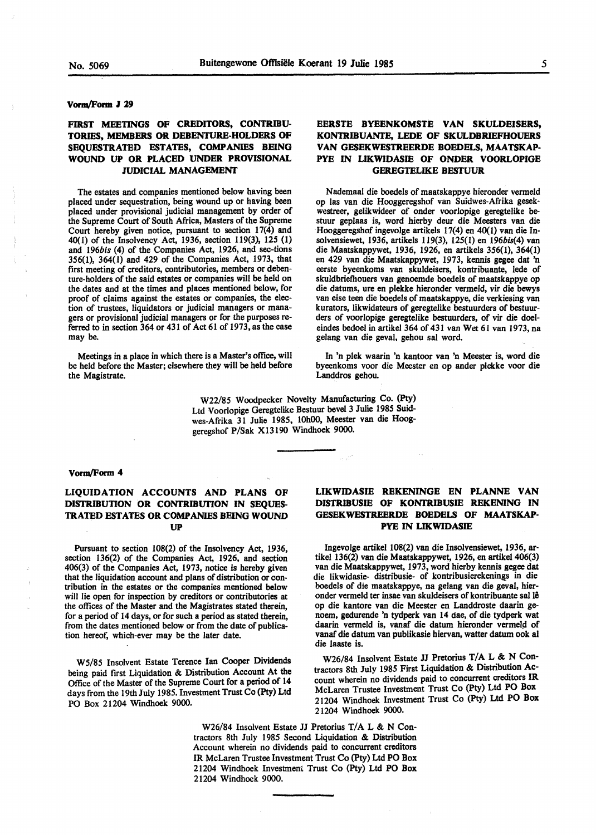#### **Vonn/Form J 29**

## **FIRST MEETINGS OF CREDITORS, CONTRIBU-TORIES, MEMBERS OR DEBENTURE-HOLDERS OF SEQUESTRATED ESTATES, COMPANIES BEING WOUND UP OR PLACED UNDER PROVISIONAL JUDICIAL MANAGEMENT**

The estates and companies mentioned below having been placed under sequestration, being wound up or having been placed under provisional judicial management by order of the Supreme Court of South Africa, Masters of the Supreme Court hereby given notice, pursuant to section 17(4) and 40(1) of the Insolvency Act, 1936, section 119(3), 125 (1) and *l96bis* (4) of the Companies Act, 1926, and sec-tions 356(1), 364(1) and 429 of the Companies Act, 1973, that first meeting of creditors, contributories, members or debenture-holders of the said estates or companies will be held on the dates and at the times and places mentioned below, for proof of claims against the estates or companies, the election of trustees, liquidators or judicial managers or managers or provisional judicial managers or for the purposes referred to in section 364 or 431 of Act 61 of 1973, as the case may be.

Meetings in a place in which there is a Master's office, will be held before the Master; elsewhere they will be held before the Magistrate.

## **EERSTE BYEENKOMSTE VAN SKULDEISERS, KONTRIBUANTE, LEDE OF SKULDBRIEFHOUERS VAN GESEKWESTREERDE BOEDELS, MAATSKAP-PYE** IN **LIKWIDASIB OF ONDER VOORLOPIGE GEREGTELIKE BESTUUR**

Nademaal die boedels of maatskappye hieronder vermeld op las van die Hooggeregshof van Suidwes-Afrika gesekwestreer, gelikwideer of onder voorlopige geregtelike bestuur geplaas is, word hierby deur die Meesters van die Hooggeregshof ingevolge artikels 17(4) en 40(1) van die Insolvensiewet, 1936, artikels 119(3), 125(1) en 196bis(4) van die Maatskappywet, 1936, 1926, en artikels 356(1), 364(1) en 429 van die Maatskappywet, 1973, kennis gegee dat 'n eerste byeenkoms van skuldeisers, kontribuante, lede of skuldbriefhouers van genoemde boedels of maatskappye op die datums, ure en plekke hieronder vermeld, vir die bewys van eise teen die boedels of maatskappye, die verkiesing van kurators, likwidateurs of geregtelike bestuurders of bestuurders of voorlopige geregtelike bestuurders, of vir die doeleindes bedoel in artikel 364 of 431 van Wet 61 van 1973, na gelang van die geval, gehou sat word.

In 'n plek waarin 'n kantoor van 'n Meester is, word die byeenkoms voor die Meester en op ander plekke voor die Landdros gehou.

W22/85 Woodpecker Novelty Manufacturing Co. (Pty) Ltd Voorlopige Geregtelike Bestuur bevel 3 Julie 1985 Suidwes-Afrika 31 Julie 1985, 10h00, Meester van die Hooggeregshof P/Sak X13190 Windhoek 9000.

#### **Vonn/Form 4**

## **LIQUIDATION ACCOUNTS AND PLANS OF DISTRIBUTION OR CONTRIBUTION IN SEQUES-TRATED ESTATES OR COMPANIES BEING WOUND UP**

Pursuant to section 108(2) of the Insolvency Act, 1936, section 136(2) of the Companies Act, 1926, and section 406(3) of the Companies Act, 1973, notice is hereby **given**  that the liquidation account and plans of distribution or contribution in the estates or the companies mentioned below will lie open for inspection by creditors or contributories at the offices of the Master and the Magistrates stated therein, for a period of 14 days, or for such a period as stated therein, from the dates mentioned below or from the date of publication hereof, which-ever may be the later date.

W5/85 Insolvent Estate Terence Ian Cooper Dividends being paid first Liquidation & Distribution Account At the Office of the Master of the Supreme Court for a period of 14 days from the 19th July 1985. Investment Trust Co (Pty) Ltd PO Box 21204 Windhoek 9000.

## **LIKWIDASIE REKENINGE EN PLANNE VAN DISTRIBUSIE OF KONTRIBUSIE REKENING IN GESEKWESTREERDE BOEDELS OF MAATSKAP· PYE** IN **LIKWIDASIE**

lngevolge artikel 108(2) van die Insolvensiewet, 1936, artikel 136(2) van die Maatskappywet, 1926, en artikel 406(3) van die Maatskappywet, 1973, word hierby kennis gegee dat die likwidasie- distribusie- of kontribusierekenings in die boedels of die maatskappye, na gelang van die geval, hieronder vermeld ter insae van skuldeisers of kontribuante sat le op die kantore van die Meester en Landdroste daarin genoem, gedurende 'n tydperk van 14 dae, of die tydperk wat daarin vermeld is, vanaf die datum hieronder vermeld of vanaf die datum van publikasie hiervan, watter datum ook al die laaste is.

W26/84 Insolvent Estate JJ Pretorius T/A L & N Contractors 8th July 1985 First Liquidation & Distribution Account wherein no dividends paid to concurrent creditors IR McLaren Trustee Investment Trust Co (Pty) Ltd PO Box 21204 Windhoek Investment Trust Co (Pty) Ltd **PO Box:**  21204 Windhoek 9000.

W26/84 Insolvent Estate JJ Pretorius *TIA* L & N Contractors 8th July 1985 Second Liquidation & Distribution Account wherein no dividends paid to concurrent creditors IR McLaren Trustee Investment Trust Co (Pty) Ltd PO Box 21204 Windhoek Investment Trust Co (Pty) Ltd PO Box 21204 Windhoek 9000.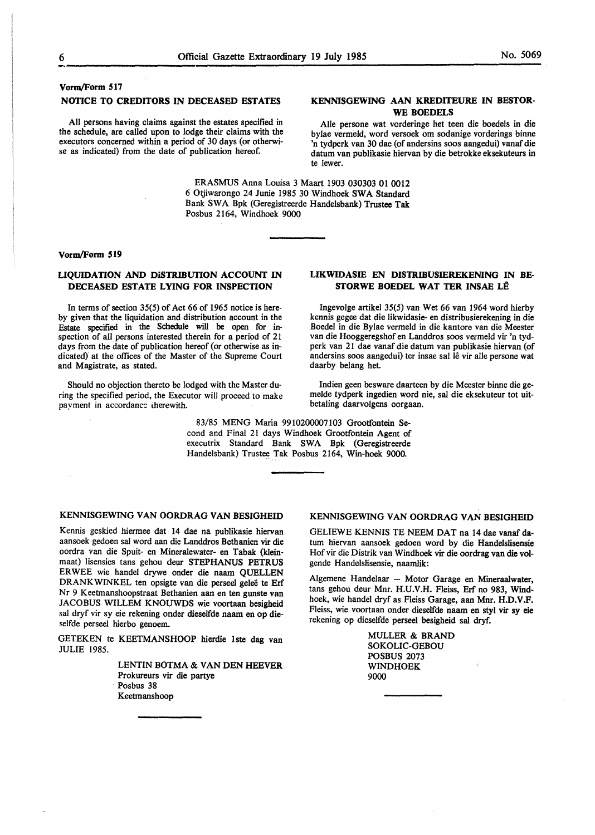## **Vorm/Form 517**

# **NOTICE TO CREDITORS IN DECEASED ESTATES**

All persons having claims against the estates specified in the schedule, are called upon to lodge their claims with the executors concerned within a period of 30 days (or otherwise as indicated) from the date of publication hereof.

## **KENNISGEWING AAN KREDITEURE IN BESTOR-WE BOEDELS**

Alie persone wat vorderinge het teen die boedels in die bylae vermeld, word versoek om sodanige vorderings binne 'n tydperk van 30 dae (of andersins soos aangedui) vanaf die datum van publikasie hiervan by die betrokke eksekuteurs in te lewer.

ERASMUS Anna Louisa 3 Maart 1903 030303 01 0012 6 Otjiwarongo 24 Junie 1985 30 Windhoek SWA Standard Bank SWA Bpk (Geregistreerde Handelsbank) Trustee Tak Posbus 2164, Windhoek 9000

#### **Vorm/Form 519**

## **LIQUIDATION AND DISTRIBUTION ACCOUNT IN DECEASED ESTATE LYING FOR INSPECTION**

In terms of section 35(5) of Act 66 of 1965 notice is hereby given that the liquidation and distribution account in the Estate specified in the Schedule will be open for inspection of all persons interested therein for a period of 21 days from the date of publication hereof (or otherwise as indicated) at the offices of the Master of the Supreme Court and Magistrate, as stated.

Should no objection thereto be lodged with the Master during the specified period, the Executor will proceed to make payment in accordance therewith.

## **LIKWIDASIE EN DISTRIBUSIEREKENING IN BE-STORWE BOEDEL WAT TER INSAE LÊ**

Ingevolge artikel 35(5) van Wet 66 van 1964 word hierby kennis gegee dat die likwidasie- en distribusierekening in die Boedel in die Bylae vermeld in die kantore van die Meester van die Hooggeregshof en Landdros soos vermeld vir 'n tydperk van 21 dae vanaf die datum van publikasie hiervan (of andersins soos aangedui) ter insae sal lê vir alle persone wat daarby belang het.

Indien geen besware daarteen by die Meester binne die gemelde tydperk ingedien word nie, sal die eksekuteur tot uitbetaling daarvolgens oorgaan.

83/85 MENG Maria 9910200007103 Grootfontein Second and Final 21 days Windhoek Grootfontein Agent of executrix Standard Bank SWA Bpk (Geregistreerde Handelsbank) Trustee Tak Posbus 2164, Win-hoek 9000.

## **KENNISGEWING VAN OORDRAG VAN BESIGHEID**

Kennis geskied hiermee dat 14 dae na publikasie hiervan aansoek gedoen sal word aan die Landdros Bethanien vir die oordra van die Spuit- en Mineralewater- en Tabak (kleinmaat) Iisensies tans gehou deur STEPHANUS PETRUS ERWEE wie handel drywe onder die naam QUELLEN DRANKWINKEL ten opsigte van die perseel gelee te Erf Nr 9 Keetmanshoopstraat Bethanien aan en ten gunste van JACOBUS WILLEM KNOUWDS wie voortaan besigheid sal dryf vir sy eie rekening onder dieselfde naam en op dieselfde perseel hierbo genoem.

GETEKEN te KEETMANSHOOP hierdie lste dag van JULIE 1985.

> LENTIN BOTMA & VAN DEN HEEVER Prokureurs vir die partye Posbus 38 Keetmanshoop

## KENNISGEWING VAN OORDRAG VAN BESIGHEID

GELIEWE KENNIS TE NEEM DAT na 14 dae vanaf datum hiervan aansoek gedoen word by die Handelslisensie Hof vir die Distrik van Windhoek vir die oordrag van die volgende Handelslisensie, naamlik:

Algemene Handelaar - Motor Garage en Mineraalwater, tans gehou deur Mnr. H.U.V.H. Pleiss, Erf no 983, Wmdhoek, wie handel dryf as Pleiss Garage, aan Mnr. H.D.V.F. Pleiss, wie voortaan onder dieselfde naam en styl vir sy eie rekening op dieselfde perseel besigheid sal dryf.

> MULLER & BRAND SOKOLIC-GEBOU POSBUS 2073 WINDHOEK 9000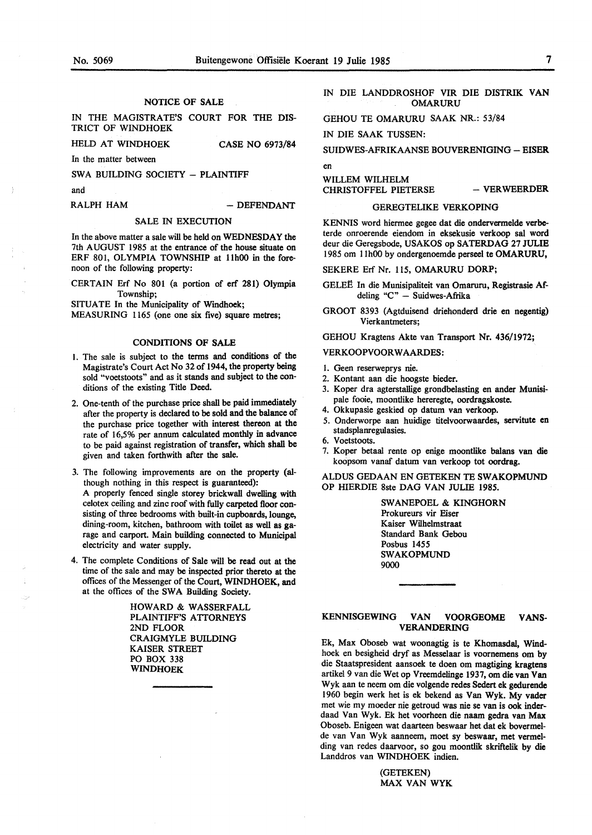NOTICE OF SALE

IN THE MAGISTRATE'S COURT FOR THE DIS-TRICT OF WINDHOEK

HELD AT WINDHOEK CASE NO 6973/84

In the matter between

SWA BUILDING SOCIETY - PLAINTIFF

and

RALPH HAM  $-$  DEFENDANT

## SALE IN EXECUTION

In the above matter a sale will be held on WEDNESDAY the 7th AUGUST 1985 at the entrance of the house situate on ERF 801, OLYMPIA TOWNSHIP at 11h00 in the forenoon of the following property:

CERTAIN Erf No 801 (a portion of erf 281) Olympia Township;

SITUATE In the Municipality of Windhoek;

MEASURING 1165 (one one six five) square metres;

#### CONDITIONS OF SALE

- I. The sale is subject to the terms and conditions of the Magistrate's Court Act No 32 of 1944, the property being sold "voetstoots" and as it stands and subject to the conditions of the existing Title Deed.
- 2. One-tenth of the purchase price shall be paid immediately after the property is declared to be sold and the balance of the purchase price together with interest thereon at the rate of 16,5% per annum calculated monthly in advance to be paid against registration of transfer, which shall be given and taken forthwith after the sale.
- 3. The following improvements are on the property (although nothing in this respect is guaranteed): A properly fenced single storey brickwall dwelling with celotex ceiling and zinc roof with fully carpeted floor consisting of three bedrooms with built-in cupboards, lounge, dining-room, kitchen, bathroom with toilet as well as garage and carport. Main building connected to Municipal electricity and water supply.
- 4. The complete Conditions of Sale will be read out at the time of the sale and may be inspected prior thereto at the offices of the Messenger of the Court, WINDHOEK, and at the offices of the SWA Building Society.

HOWARD & WASSERFALL PLAINTIFF'S ATTORNEYS 2ND FLOOR CRAIGMYLE BUILDING KAISER STREET PO BOX 338 WINDHOEK

IN DIE LANDDROSHOF VIR DIE DISTRIK VAN OMARURU

GEHOU TE OMARURU SAAK NR.: 53/84

IN DIE SAAK TUSSEN:

SUIDWES-AFRIKAANSE BOUVERENIGING - EISER

en

WILLEM WILHELM CHRISTOFFEL PIETERSE - VERWEERDER

#### GEREGTELIKE VERKOPING

KENNIS word hiermee gegee dat die ondervermelde verbeterde onroerende eiendom in eksekusie verkoop sal word deur die Geregsbode, USAKOS op SA TERDAG 27 JULIE 1985 om 11h00 by ondergenoemde perseel te OMARURU,

SEKERE Erf Nr. 115, OMARURU DORP;

- GELEË In die Munisipaliteit van Omaruru, Registrasie Afdeling "C" - Suidwes-Afrika
- GROOT 8393 (Agtduisend driehonderd drie en negentig) Vierkantmeters;

GEHOU Kragtens Akte van Transport Nr. 436/1972;

# VERKOOPVOORWAARDES:

- l. Geen reserweprys nie.
- 2. Kontant aan die hoogste bieder.
- 3. Koper dra agterstallige grondbelasting en ander Munisipale fooie, moontlike hereregte, oordragskoste.
- 4. Okkupasie geskied op datum van verkoop.
- 5. Onderworpe aan huidige titelvoorwaardes, servitute en stadsplanregulasies.
- 6. Voetstoots.
- 7. Koper betaal rente op enige moontlike balans van die koopsom vanaf datum van verkoop tot oordrag.

ALDUS GEDAAN EN GETEKEN TE **SWAKOPMUND**  OP HIERDIE 8ste DAG VAN JULIE 1985.

> SWANEPOEL & **KINGHORN**  Prokureurs vir Eiser Kaiser Wilhelmstraat Standard Bank Gebou Posbus 1455 SWAKOPMUND 9000

## KENNISGEWING VAN VOORGEOME **VANS-VERANDERING**

Ek, Max Oboseb wat woonagtig is te Khomasdal, Windhoek en besigheid dryf as Messelaar is voornemens om by die Staatspresident aansoek te doen om magtiging kragtens artikel 9 van die Wet op Vreemdelinge 1937, om die van Van Wyk aan te neem om die volgende redes Sedert ek gedurende 1960 begin werk het is ek bekend as Van Wyk. My vader met wie my moeder nie getroud was nie se van is ook inderdaad Van Wyk. Ek het voorheen die naam gedra van **Max**  Oboseb. Enigeen wat daarteen beswaar het dat ek bovermelde van Van Wyk aanneem, moet sy beswaar, met vermelding van redes daarvoor, so gou moontlik skriftelik by die Landdros van WINDHOEK indien.

> (GETEKEN) **MAX VAN WYK**